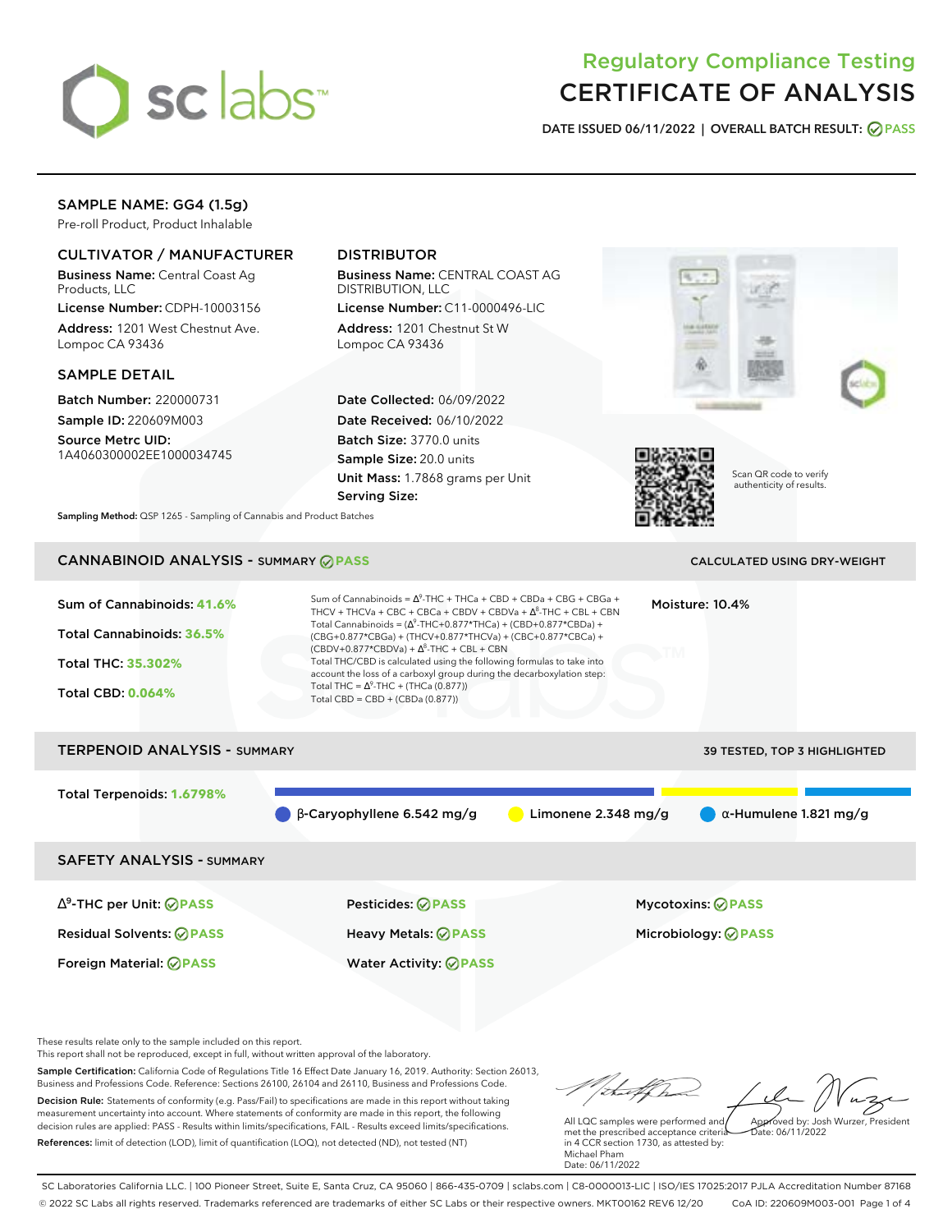

# Regulatory Compliance Testing CERTIFICATE OF ANALYSIS

**DATE ISSUED 06/11/2022 | OVERALL BATCH RESULT: PASS**

# SAMPLE NAME: GG4 (1.5g)

Pre-roll Product, Product Inhalable

## CULTIVATOR / MANUFACTURER

Business Name: Central Coast Ag Products, LLC

License Number: CDPH-10003156 Address: 1201 West Chestnut Ave. Lompoc CA 93436

### SAMPLE DETAIL

Batch Number: 220000731 Sample ID: 220609M003 Source Metrc UID:

1A4060300002EE1000034745

## DISTRIBUTOR

Business Name: CENTRAL COAST AG DISTRIBUTION, LLC

License Number: C11-0000496-LIC Address: 1201 Chestnut St W Lompoc CA 93436

Date Collected: 06/09/2022 Date Received: 06/10/2022 Batch Size: 3770.0 units Sample Size: 20.0 units Unit Mass: 1.7868 grams per Unit Serving Size:





Scan QR code to verify authenticity of results.

**Sampling Method:** QSP 1265 - Sampling of Cannabis and Product Batches

# CANNABINOID ANALYSIS - SUMMARY **PASS** CALCULATED USING DRY-WEIGHT

| Sum of Cannabinoids: 41.6%<br>Total Cannabinoids: 36.5%<br>Total THC: 35.302%<br><b>Total CBD: 0.064%</b> | Sum of Cannabinoids = $\Delta^9$ -THC + THCa + CBD + CBDa + CBG + CBGa +<br>THCV + THCVa + CBC + CBCa + CBDV + CBDVa + $\Lambda^8$ -THC + CBL + CBN<br>Total Cannabinoids = $(\Delta^9$ -THC+0.877*THCa) + (CBD+0.877*CBDa) +<br>(CBG+0.877*CBGa) + (THCV+0.877*THCVa) + (CBC+0.877*CBCa) +<br>$(CBDV+0.877*CBDVa) + \Delta^8$ -THC + CBL + CBN<br>Total THC/CBD is calculated using the following formulas to take into<br>account the loss of a carboxyl group during the decarboxylation step:<br>Total THC = $\Delta^9$ -THC + (THCa (0.877))<br>Total CBD = CBD + (CBDa (0.877)) |                       | Moisture: 10.4%                                        |
|-----------------------------------------------------------------------------------------------------------|---------------------------------------------------------------------------------------------------------------------------------------------------------------------------------------------------------------------------------------------------------------------------------------------------------------------------------------------------------------------------------------------------------------------------------------------------------------------------------------------------------------------------------------------------------------------------------------|-----------------------|--------------------------------------------------------|
| <b>TERPENOID ANALYSIS - SUMMARY</b>                                                                       |                                                                                                                                                                                                                                                                                                                                                                                                                                                                                                                                                                                       |                       | 39 TESTED, TOP 3 HIGHLIGHTED                           |
| Total Terpenoids: 1.6798%                                                                                 | $\beta$ -Caryophyllene 6.542 mg/g                                                                                                                                                                                                                                                                                                                                                                                                                                                                                                                                                     | Limonene $2.348$ mg/g | $\alpha$ -Humulene 1.821 mg/g                          |
| <b>SAFETY ANALYSIS - SUMMARY</b>                                                                          |                                                                                                                                                                                                                                                                                                                                                                                                                                                                                                                                                                                       |                       |                                                        |
| $\Delta^9$ -THC per Unit: $\oslash$ PASS<br><b>Residual Solvents: ⊘PASS</b>                               | Pesticides: ⊘PASS<br>Heavy Metals: <b>⊘</b> PASS                                                                                                                                                                                                                                                                                                                                                                                                                                                                                                                                      |                       | <b>Mycotoxins: ⊘PASS</b><br>Microbiology: <b>⊘PASS</b> |

These results relate only to the sample included on this report.

This report shall not be reproduced, except in full, without written approval of the laboratory.

Sample Certification: California Code of Regulations Title 16 Effect Date January 16, 2019. Authority: Section 26013, Business and Professions Code. Reference: Sections 26100, 26104 and 26110, Business and Professions Code. Decision Rule: Statements of conformity (e.g. Pass/Fail) to specifications are made in this report without taking measurement uncertainty into account. Where statements of conformity are made in this report, the following decision rules are applied: PASS - Results within limits/specifications, FAIL - Results exceed limits/specifications.

Foreign Material: **PASS** Water Activity: **PASS**

References: limit of detection (LOD), limit of quantification (LOQ), not detected (ND), not tested (NT)

talkha Approved by: Josh Wurzer, President

Date: 06/11/2022

All LQC samples were performed and met the prescribed acceptance criteria in 4 CCR section 1730, as attested by: Michael Pham Date: 06/11/2022

SC Laboratories California LLC. | 100 Pioneer Street, Suite E, Santa Cruz, CA 95060 | 866-435-0709 | sclabs.com | C8-0000013-LIC | ISO/IES 17025:2017 PJLA Accreditation Number 87168 © 2022 SC Labs all rights reserved. Trademarks referenced are trademarks of either SC Labs or their respective owners. MKT00162 REV6 12/20 CoA ID: 220609M003-001 Page 1 of 4